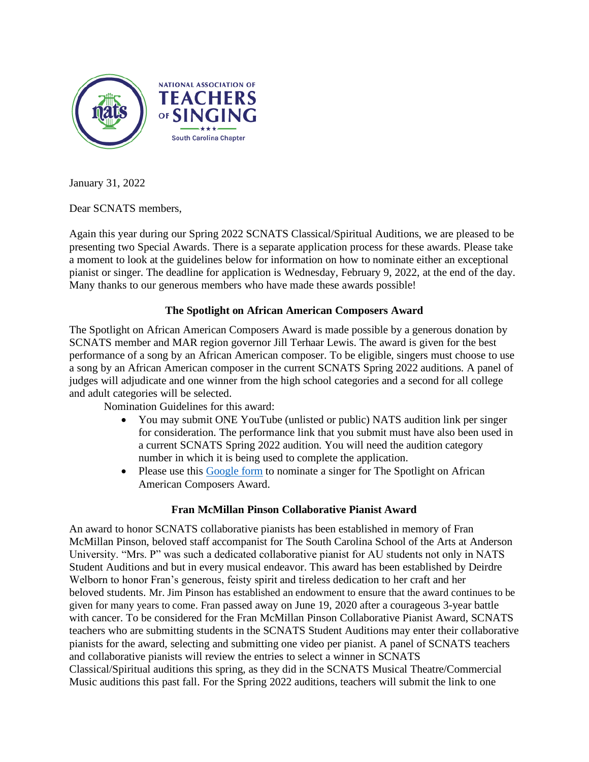

January 31, 2022

Dear SCNATS members,

Again this year during our Spring 2022 SCNATS Classical/Spiritual Auditions, we are pleased to be presenting two Special Awards. There is a separate application process for these awards. Please take a moment to look at the guidelines below for information on how to nominate either an exceptional pianist or singer. The deadline for application is Wednesday, February 9, 2022, at the end of the day. Many thanks to our generous members who have made these awards possible!

## **The Spotlight on African American Composers Award**

The Spotlight on African American Composers Award is made possible by a generous donation by SCNATS member and MAR region governor Jill Terhaar Lewis. The award is given for the best performance of a song by an African American composer. To be eligible, singers must choose to use a song by an African American composer in the current SCNATS Spring 2022 auditions. A panel of judges will adjudicate and one winner from the high school categories and a second for all college and adult categories will be selected.

Nomination Guidelines for this award:

- You may submit ONE YouTube (unlisted or public) NATS audition link per singer for consideration. The performance link that you submit must have also been used in a current SCNATS Spring 2022 audition. You will need the audition category number in which it is being used to complete the application.
- Please use this [Google form](https://docs.google.com/forms/d/e/1FAIpQLSd4E-aj4Mt3w7qNSvqZuEjgQ6c1HA0s30FwdV0_LvjCJ03bPg/viewform?usp=sf_link) to nominate a singer for The Spotlight on African American Composers Award.

## **Fran McMillan Pinson Collaborative Pianist Award**

An award to honor SCNATS collaborative pianists has been established in memory of Fran McMillan Pinson, beloved staff accompanist for The South Carolina School of the Arts at Anderson University. "Mrs. P" was such a dedicated collaborative pianist for AU students not only in NATS Student Auditions and but in every musical endeavor. This award has been established by Deirdre Welborn to honor Fran's generous, feisty spirit and tireless dedication to her craft and her beloved students. Mr. Jim Pinson has established an endowment to ensure that the award continues to be given for many years to come. Fran passed away on June 19, 2020 after a courageous 3-year battle with cancer. To be considered for the Fran McMillan Pinson Collaborative Pianist Award, SCNATS teachers who are submitting students in the SCNATS Student Auditions may enter their collaborative pianists for the award, selecting and submitting one video per pianist. A panel of SCNATS teachers and collaborative pianists will review the entries to select a winner in SCNATS Classical/Spiritual auditions this spring, as they did in the SCNATS Musical Theatre/Commercial Music auditions this past fall. For the Spring 2022 auditions, teachers will submit the link to one